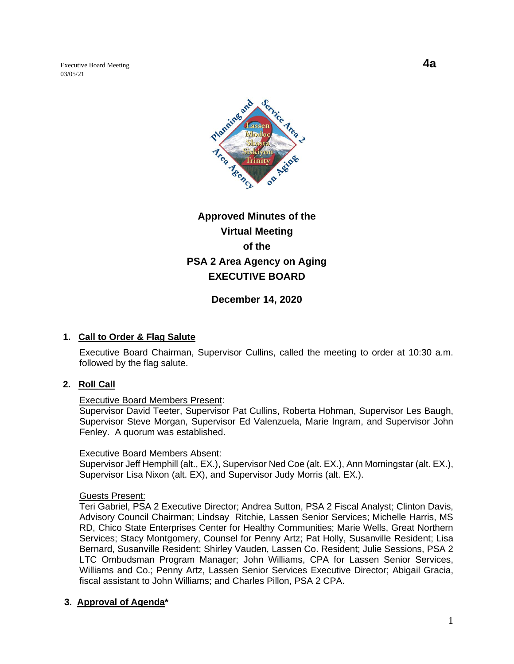Executive Board Meeting **4a** 03/05/21



# **Approved Minutes of the Virtual Meeting of the PSA 2 Area Agency on Aging EXECUTIVE BOARD**

**December 14, 2020**

# **1. Call to Order & Flag Salute**

Executive Board Chairman, Supervisor Cullins, called the meeting to order at 10:30 a.m. followed by the flag salute.

#### **2. Roll Call**

#### Executive Board Members Present:

Supervisor David Teeter, Supervisor Pat Cullins, Roberta Hohman, Supervisor Les Baugh, Supervisor Steve Morgan, Supervisor Ed Valenzuela, Marie Ingram, and Supervisor John Fenley. A quorum was established.

#### Executive Board Members Absent:

Supervisor Jeff Hemphill (alt., EX.), Supervisor Ned Coe (alt. EX.), Ann Morningstar (alt. EX.), Supervisor Lisa Nixon (alt. EX), and Supervisor Judy Morris (alt. EX.).

#### Guests Present:

Teri Gabriel, PSA 2 Executive Director; Andrea Sutton, PSA 2 Fiscal Analyst; Clinton Davis, Advisory Council Chairman; Lindsay Ritchie, Lassen Senior Services; Michelle Harris, MS RD, Chico State Enterprises Center for Healthy Communities; Marie Wells, Great Northern Services; Stacy Montgomery, Counsel for Penny Artz; Pat Holly, Susanville Resident; Lisa Bernard, Susanville Resident; Shirley Vauden, Lassen Co. Resident; Julie Sessions, PSA 2 LTC Ombudsman Program Manager; John Williams, CPA for Lassen Senior Services, Williams and Co.; Penny Artz, Lassen Senior Services Executive Director; Abigail Gracia, fiscal assistant to John Williams; and Charles Pillon, PSA 2 CPA.

# **3. Approval of Agenda\***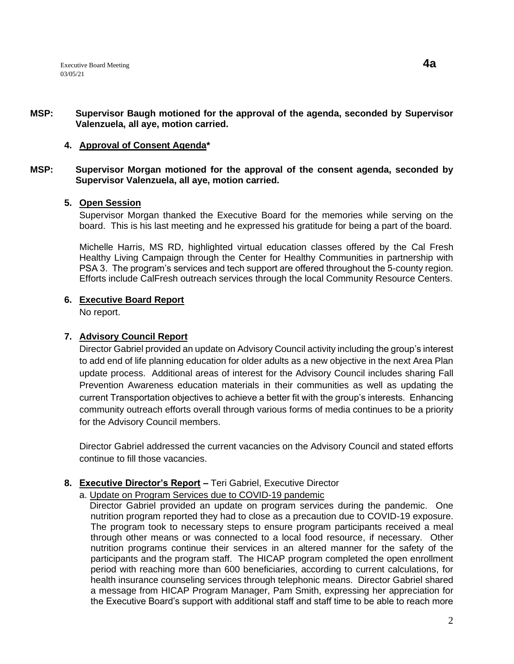## **MSP: Supervisor Baugh motioned for the approval of the agenda, seconded by Supervisor Valenzuela, all aye, motion carried.**

# **4. Approval of Consent Agenda\***

## **MSP: Supervisor Morgan motioned for the approval of the consent agenda, seconded by Supervisor Valenzuela, all aye, motion carried.**

# **5. Open Session**

Supervisor Morgan thanked the Executive Board for the memories while serving on the board. This is his last meeting and he expressed his gratitude for being a part of the board.

Michelle Harris, MS RD, highlighted virtual education classes offered by the Cal Fresh Healthy Living Campaign through the Center for Healthy Communities in partnership with PSA 3. The program's services and tech support are offered throughout the 5-county region. Efforts include CalFresh outreach services through the local Community Resource Centers.

# **6. Executive Board Report**

No report.

# **7. Advisory Council Report**

Director Gabriel provided an update on Advisory Council activity including the group's interest to add end of life planning education for older adults as a new objective in the next Area Plan update process. Additional areas of interest for the Advisory Council includes sharing Fall Prevention Awareness education materials in their communities as well as updating the current Transportation objectives to achieve a better fit with the group's interests. Enhancing community outreach efforts overall through various forms of media continues to be a priority for the Advisory Council members.

Director Gabriel addressed the current vacancies on the Advisory Council and stated efforts continue to fill those vacancies.

# **8. Executive Director's Report –** Teri Gabriel, Executive Director

# a. Update on Program Services due to COVID-19 pandemic

 Director Gabriel provided an update on program services during the pandemic. One nutrition program reported they had to close as a precaution due to COVID-19 exposure. The program took to necessary steps to ensure program participants received a meal through other means or was connected to a local food resource, if necessary. Other nutrition programs continue their services in an altered manner for the safety of the participants and the program staff. The HICAP program completed the open enrollment period with reaching more than 600 beneficiaries, according to current calculations, for health insurance counseling services through telephonic means. Director Gabriel shared a message from HICAP Program Manager, Pam Smith, expressing her appreciation for the Executive Board's support with additional staff and staff time to be able to reach more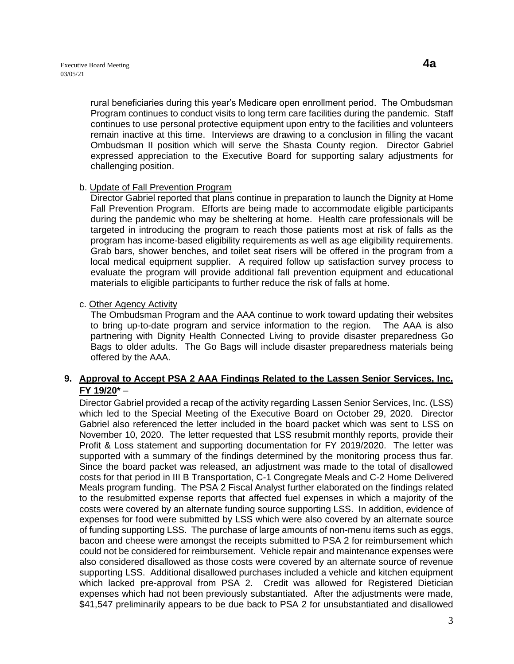rural beneficiaries during this year's Medicare open enrollment period. The Ombudsman Program continues to conduct visits to long term care facilities during the pandemic. Staff continues to use personal protective equipment upon entry to the facilities and volunteers remain inactive at this time. Interviews are drawing to a conclusion in filling the vacant Ombudsman II position which will serve the Shasta County region. Director Gabriel expressed appreciation to the Executive Board for supporting salary adjustments for challenging position.

## b. Update of Fall Prevention Program

Director Gabriel reported that plans continue in preparation to launch the Dignity at Home Fall Prevention Program. Efforts are being made to accommodate eligible participants during the pandemic who may be sheltering at home. Health care professionals will be targeted in introducing the program to reach those patients most at risk of falls as the program has income-based eligibility requirements as well as age eligibility requirements. Grab bars, shower benches, and toilet seat risers will be offered in the program from a local medical equipment supplier. A required follow up satisfaction survey process to evaluate the program will provide additional fall prevention equipment and educational materials to eligible participants to further reduce the risk of falls at home.

## c. Other Agency Activity

The Ombudsman Program and the AAA continue to work toward updating their websites to bring up-to-date program and service information to the region. The AAA is also partnering with Dignity Health Connected Living to provide disaster preparedness Go Bags to older adults. The Go Bags will include disaster preparedness materials being offered by the AAA.

# **9. Approval to Accept PSA 2 AAA Findings Related to the Lassen Senior Services, Inc. FY 19/20\*** –

Director Gabriel provided a recap of the activity regarding Lassen Senior Services, Inc. (LSS) which led to the Special Meeting of the Executive Board on October 29, 2020. Director Gabriel also referenced the letter included in the board packet which was sent to LSS on November 10, 2020. The letter requested that LSS resubmit monthly reports, provide their Profit & Loss statement and supporting documentation for FY 2019/2020. The letter was supported with a summary of the findings determined by the monitoring process thus far. Since the board packet was released, an adjustment was made to the total of disallowed costs for that period in III B Transportation, C-1 Congregate Meals and C-2 Home Delivered Meals program funding. The PSA 2 Fiscal Analyst further elaborated on the findings related to the resubmitted expense reports that affected fuel expenses in which a majority of the costs were covered by an alternate funding source supporting LSS. In addition, evidence of expenses for food were submitted by LSS which were also covered by an alternate source of funding supporting LSS. The purchase of large amounts of non-menu items such as eggs, bacon and cheese were amongst the receipts submitted to PSA 2 for reimbursement which could not be considered for reimbursement. Vehicle repair and maintenance expenses were also considered disallowed as those costs were covered by an alternate source of revenue supporting LSS. Additional disallowed purchases included a vehicle and kitchen equipment which lacked pre-approval from PSA 2. Credit was allowed for Registered Dietician expenses which had not been previously substantiated. After the adjustments were made, \$41,547 preliminarily appears to be due back to PSA 2 for unsubstantiated and disallowed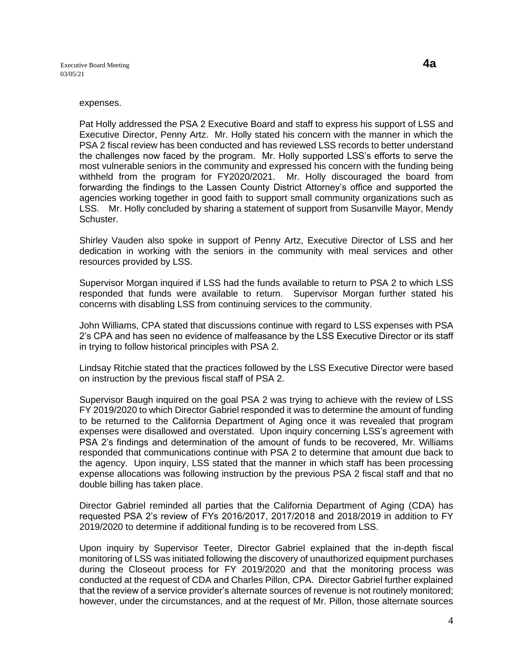#### expenses.

Pat Holly addressed the PSA 2 Executive Board and staff to express his support of LSS and Executive Director, Penny Artz. Mr. Holly stated his concern with the manner in which the PSA 2 fiscal review has been conducted and has reviewed LSS records to better understand the challenges now faced by the program. Mr. Holly supported LSS's efforts to serve the most vulnerable seniors in the community and expressed his concern with the funding being withheld from the program for FY2020/2021. Mr. Holly discouraged the board from forwarding the findings to the Lassen County District Attorney's office and supported the agencies working together in good faith to support small community organizations such as LSS. Mr. Holly concluded by sharing a statement of support from Susanville Mayor, Mendy Schuster.

Shirley Vauden also spoke in support of Penny Artz, Executive Director of LSS and her dedication in working with the seniors in the community with meal services and other resources provided by LSS.

Supervisor Morgan inquired if LSS had the funds available to return to PSA 2 to which LSS responded that funds were available to return. Supervisor Morgan further stated his concerns with disabling LSS from continuing services to the community.

John Williams, CPA stated that discussions continue with regard to LSS expenses with PSA 2's CPA and has seen no evidence of malfeasance by the LSS Executive Director or its staff in trying to follow historical principles with PSA 2.

Lindsay Ritchie stated that the practices followed by the LSS Executive Director were based on instruction by the previous fiscal staff of PSA 2.

Supervisor Baugh inquired on the goal PSA 2 was trying to achieve with the review of LSS FY 2019/2020 to which Director Gabriel responded it was to determine the amount of funding to be returned to the California Department of Aging once it was revealed that program expenses were disallowed and overstated. Upon inquiry concerning LSS's agreement with PSA 2's findings and determination of the amount of funds to be recovered, Mr. Williams responded that communications continue with PSA 2 to determine that amount due back to the agency. Upon inquiry, LSS stated that the manner in which staff has been processing expense allocations was following instruction by the previous PSA 2 fiscal staff and that no double billing has taken place.

Director Gabriel reminded all parties that the California Department of Aging (CDA) has requested PSA 2's review of FYs 2016/2017, 2017/2018 and 2018/2019 in addition to FY 2019/2020 to determine if additional funding is to be recovered from LSS.

Upon inquiry by Supervisor Teeter, Director Gabriel explained that the in-depth fiscal monitoring of LSS was initiated following the discovery of unauthorized equipment purchases during the Closeout process for FY 2019/2020 and that the monitoring process was conducted at the request of CDA and Charles Pillon, CPA. Director Gabriel further explained that the review of a service provider's alternate sources of revenue is not routinely monitored; however, under the circumstances, and at the request of Mr. Pillon, those alternate sources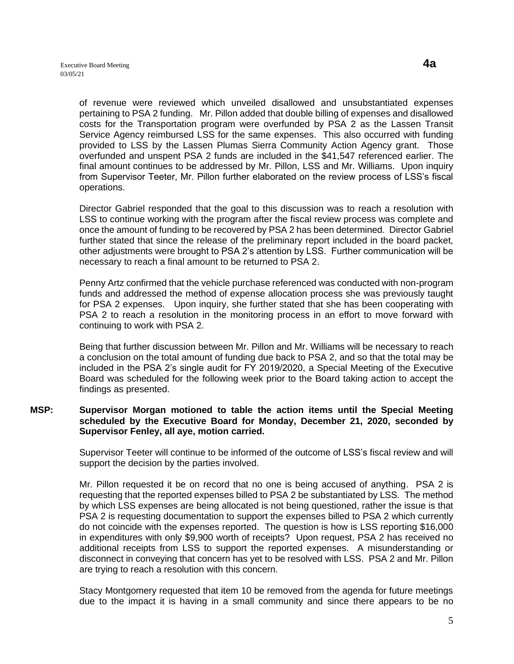of revenue were reviewed which unveiled disallowed and unsubstantiated expenses pertaining to PSA 2 funding. Mr. Pillon added that double billing of expenses and disallowed costs for the Transportation program were overfunded by PSA 2 as the Lassen Transit Service Agency reimbursed LSS for the same expenses. This also occurred with funding provided to LSS by the Lassen Plumas Sierra Community Action Agency grant. Those overfunded and unspent PSA 2 funds are included in the \$41,547 referenced earlier. The final amount continues to be addressed by Mr. Pillon, LSS and Mr. Williams. Upon inquiry from Supervisor Teeter, Mr. Pillon further elaborated on the review process of LSS's fiscal operations.

Director Gabriel responded that the goal to this discussion was to reach a resolution with LSS to continue working with the program after the fiscal review process was complete and once the amount of funding to be recovered by PSA 2 has been determined. Director Gabriel further stated that since the release of the preliminary report included in the board packet, other adjustments were brought to PSA 2's attention by LSS. Further communication will be necessary to reach a final amount to be returned to PSA 2.

Penny Artz confirmed that the vehicle purchase referenced was conducted with non-program funds and addressed the method of expense allocation process she was previously taught for PSA 2 expenses. Upon inquiry, she further stated that she has been cooperating with PSA 2 to reach a resolution in the monitoring process in an effort to move forward with continuing to work with PSA 2.

Being that further discussion between Mr. Pillon and Mr. Williams will be necessary to reach a conclusion on the total amount of funding due back to PSA 2, and so that the total may be included in the PSA 2's single audit for FY 2019/2020, a Special Meeting of the Executive Board was scheduled for the following week prior to the Board taking action to accept the findings as presented.

## **MSP: Supervisor Morgan motioned to table the action items until the Special Meeting scheduled by the Executive Board for Monday, December 21, 2020, seconded by Supervisor Fenley, all aye, motion carried.**

Supervisor Teeter will continue to be informed of the outcome of LSS's fiscal review and will support the decision by the parties involved.

Mr. Pillon requested it be on record that no one is being accused of anything. PSA 2 is requesting that the reported expenses billed to PSA 2 be substantiated by LSS. The method by which LSS expenses are being allocated is not being questioned, rather the issue is that PSA 2 is requesting documentation to support the expenses billed to PSA 2 which currently do not coincide with the expenses reported. The question is how is LSS reporting \$16,000 in expenditures with only \$9,900 worth of receipts? Upon request, PSA 2 has received no additional receipts from LSS to support the reported expenses. A misunderstanding or disconnect in conveying that concern has yet to be resolved with LSS. PSA 2 and Mr. Pillon are trying to reach a resolution with this concern.

Stacy Montgomery requested that item 10 be removed from the agenda for future meetings due to the impact it is having in a small community and since there appears to be no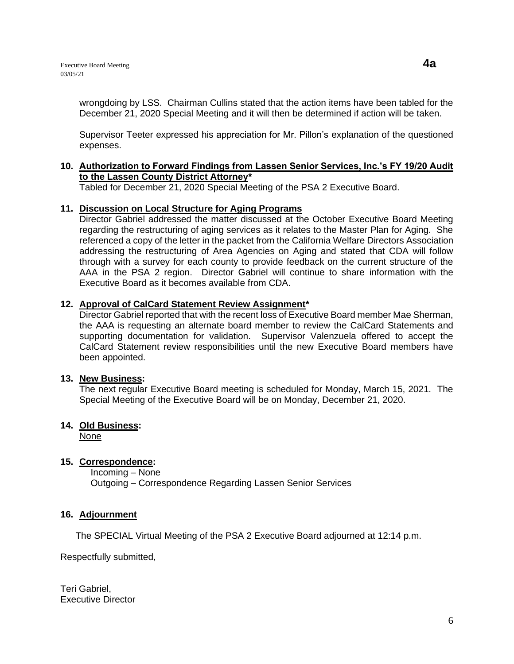wrongdoing by LSS. Chairman Cullins stated that the action items have been tabled for the December 21, 2020 Special Meeting and it will then be determined if action will be taken.

Supervisor Teeter expressed his appreciation for Mr. Pillon's explanation of the questioned expenses.

## **10. Authorization to Forward Findings from Lassen Senior Services, Inc.'s FY 19/20 Audit to the Lassen County District Attorney\***

Tabled for December 21, 2020 Special Meeting of the PSA 2 Executive Board.

## **11. Discussion on Local Structure for Aging Programs**

Director Gabriel addressed the matter discussed at the October Executive Board Meeting regarding the restructuring of aging services as it relates to the Master Plan for Aging. She referenced a copy of the letter in the packet from the California Welfare Directors Association addressing the restructuring of Area Agencies on Aging and stated that CDA will follow through with a survey for each county to provide feedback on the current structure of the AAA in the PSA 2 region. Director Gabriel will continue to share information with the Executive Board as it becomes available from CDA.

# **12. Approval of CalCard Statement Review Assignment\***

Director Gabriel reported that with the recent loss of Executive Board member Mae Sherman, the AAA is requesting an alternate board member to review the CalCard Statements and supporting documentation for validation. Supervisor Valenzuela offered to accept the CalCard Statement review responsibilities until the new Executive Board members have been appointed.

#### **13. New Business:**

The next regular Executive Board meeting is scheduled for Monday, March 15, 2021. The Special Meeting of the Executive Board will be on Monday, December 21, 2020.

# **14. Old Business:**

None

# **15. Correspondence:**

Incoming – None Outgoing – Correspondence Regarding Lassen Senior Services

#### **16. Adjournment**

The SPECIAL Virtual Meeting of the PSA 2 Executive Board adjourned at 12:14 p.m.

Respectfully submitted,

Teri Gabriel, Executive Director